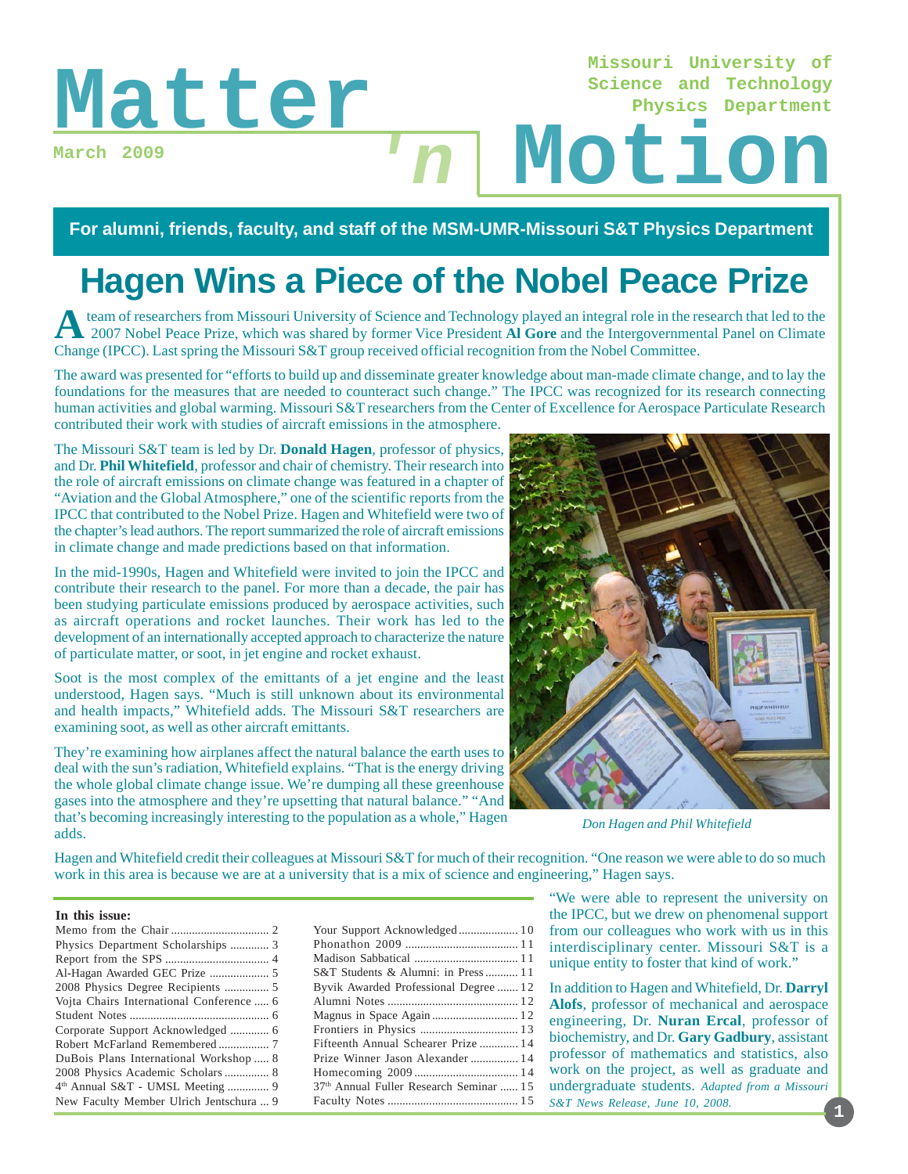**Missouri University of Science and Technology Physics Department**

### **March 2009**

# Matter Motion **'n**

### **For alumni, friends, faculty, and staff of the MSM-UMR-Missouri S&T Physics Department**

# **Hagen Wins a Piece of the Nobel Peace Prize**

**A**team of researchers from Missouri University of Science and Technology played an integral role in the research that led to the 2007 Nobel Peace Prize, which was shared by former Vice President **Al Gore** and the Intergovernmental Panel on Climate Change (IPCC). Last spring the Missouri S&T group received official recognition from the Nobel Committee.

The award was presented for "efforts to build up and disseminate greater knowledge about man-made climate change, and to lay the foundations for the measures that are needed to counteract such change." The IPCC was recognized for its research connecting human activities and global warming. Missouri S&T researchers from the Center of Excellence for Aerospace Particulate Research contributed their work with studies of aircraft emissions in the atmosphere.

The Missouri S&T team is led by Dr. **Donald Hagen**, professor of physics, and Dr. **Phil Whitefield**, professor and chair of chemistry. Their research into the role of aircraft emissions on climate change was featured in a chapter of "Aviation and the Global Atmosphere," one of the scientific reports from the IPCC that contributed to the Nobel Prize. Hagen and Whitefield were two of the chapter's lead authors. The report summarized the role of aircraft emissions in climate change and made predictions based on that information.

In the mid-1990s, Hagen and Whitefield were invited to join the IPCC and contribute their research to the panel. For more than a decade, the pair has been studying particulate emissions produced by aerospace activities, such as aircraft operations and rocket launches. Their work has led to the development of an internationally accepted approach to characterize the nature of particulate matter, or soot, in jet engine and rocket exhaust.

Soot is the most complex of the emittants of a jet engine and the least understood, Hagen says. "Much is still unknown about its environmental and health impacts," Whitefield adds. The Missouri S&T researchers are examining soot, as well as other aircraft emittants.

They're examining how airplanes affect the natural balance the earth uses to deal with the sun's radiation, Whitefield explains. "That is the energy driving the whole global climate change issue. We're dumping all these greenhouse gases into the atmosphere and they're upsetting that natural balance." "And that's becoming increasingly interesting to the population as a whole," Hagen adds.



*Don Hagen and Phil Whitefield*

Hagen and Whitefield credit their colleagues at Missouri S&T for much of their recognition. "One reason we were able to do so much work in this area is because we are at a university that is a mix of science and engineering," Hagen says.

### **In this issue:**

| Your Support Acknowledged 10            |  |
|-----------------------------------------|--|
|                                         |  |
|                                         |  |
| S&T Students & Alumni: in Press 11      |  |
| Byvik Awarded Professional Degree  12   |  |
|                                         |  |
|                                         |  |
|                                         |  |
| Fifteenth Annual Schearer Prize  14     |  |
| Prize Winner Jason Alexander  14        |  |
|                                         |  |
| 37th Annual Fuller Research Seminar  15 |  |
|                                         |  |
|                                         |  |

"We were able to represent the university on the IPCC, but we drew on phenomenal support from our colleagues who work with us in this interdisciplinary center. Missouri S&T is a unique entity to foster that kind of work."

In addition to Hagen and Whitefield, Dr. **Darryl Alofs**, professor of mechanical and aerospace engineering, Dr. **Nuran Ercal**, professor of biochemistry, and Dr. **Gary Gadbury**, assistant professor of mathematics and statistics, also work on the project, as well as graduate and undergraduate students. *Adapted from a Missouri S&T News Release, June 10, 2008.*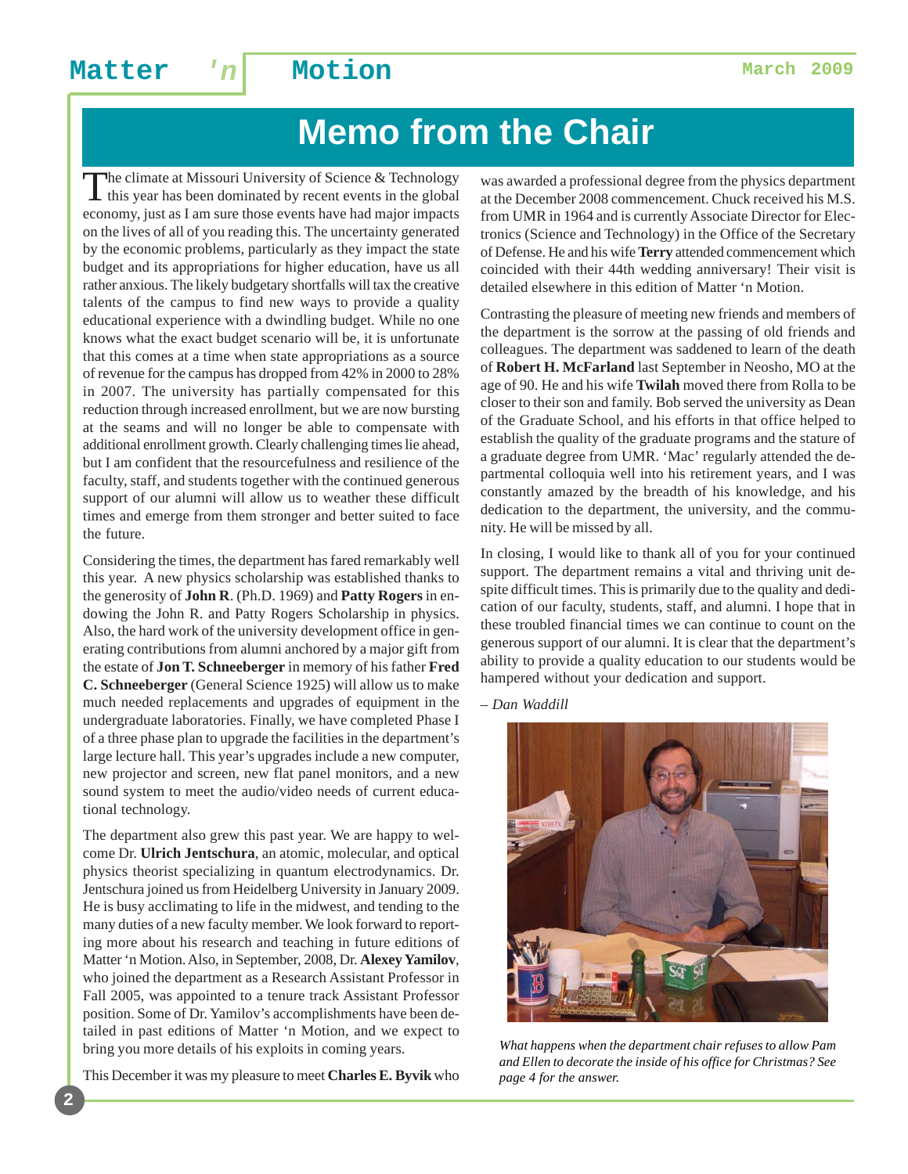# **Memo from the Chair**

The climate at Missouri University of Science & Technology this year has been dominated by recent events in the global economy, just as I am sure those events have had major impacts on the lives of all of you reading this. The uncertainty generated by the economic problems, particularly as they impact the state budget and its appropriations for higher education, have us all rather anxious. The likely budgetary shortfalls will tax the creative talents of the campus to find new ways to provide a quality educational experience with a dwindling budget. While no one knows what the exact budget scenario will be, it is unfortunate that this comes at a time when state appropriations as a source of revenue for the campus has dropped from 42% in 2000 to 28% in 2007. The university has partially compensated for this reduction through increased enrollment, but we are now bursting at the seams and will no longer be able to compensate with additional enrollment growth. Clearly challenging times lie ahead, but I am confident that the resourcefulness and resilience of the faculty, staff, and students together with the continued generous support of our alumni will allow us to weather these difficult times and emerge from them stronger and better suited to face the future.

Considering the times, the department has fared remarkably well this year. A new physics scholarship was established thanks to the generosity of **John R**. (Ph.D. 1969) and **Patty Rogers** in endowing the John R. and Patty Rogers Scholarship in physics. Also, the hard work of the university development office in generating contributions from alumni anchored by a major gift from the estate of **Jon T. Schneeberger** in memory of his father **Fred C. Schneeberger** (General Science 1925) will allow us to make much needed replacements and upgrades of equipment in the undergraduate laboratories. Finally, we have completed Phase I of a three phase plan to upgrade the facilities in the department's large lecture hall. This year's upgrades include a new computer, new projector and screen, new flat panel monitors, and a new sound system to meet the audio/video needs of current educational technology.

The department also grew this past year. We are happy to welcome Dr. **Ulrich Jentschura**, an atomic, molecular, and optical physics theorist specializing in quantum electrodynamics. Dr. Jentschura joined us from Heidelberg University in January 2009. He is busy acclimating to life in the midwest, and tending to the many duties of a new faculty member. We look forward to reporting more about his research and teaching in future editions of Matter 'n Motion. Also, in September, 2008, Dr. **Alexey Yamilov**, who joined the department as a Research Assistant Professor in Fall 2005, was appointed to a tenure track Assistant Professor position. Some of Dr. Yamilov's accomplishments have been detailed in past editions of Matter 'n Motion, and we expect to bring you more details of his exploits in coming years.

This December it was my pleasure to meet **Charles E. Byvik** who

**2**

was awarded a professional degree from the physics department at the December 2008 commencement. Chuck received his M.S. from UMR in 1964 and is currently Associate Director for Electronics (Science and Technology) in the Office of the Secretary of Defense. He and his wife **Terry** attended commencement which coincided with their 44th wedding anniversary! Their visit is detailed elsewhere in this edition of Matter 'n Motion.

Contrasting the pleasure of meeting new friends and members of the department is the sorrow at the passing of old friends and colleagues. The department was saddened to learn of the death of **Robert H. McFarland** last September in Neosho, MO at the age of 90. He and his wife **Twilah** moved there from Rolla to be closer to their son and family. Bob served the university as Dean of the Graduate School, and his efforts in that office helped to establish the quality of the graduate programs and the stature of a graduate degree from UMR. 'Mac' regularly attended the departmental colloquia well into his retirement years, and I was constantly amazed by the breadth of his knowledge, and his dedication to the department, the university, and the community. He will be missed by all.

In closing, I would like to thank all of you for your continued support. The department remains a vital and thriving unit despite difficult times. This is primarily due to the quality and dedication of our faculty, students, staff, and alumni. I hope that in these troubled financial times we can continue to count on the generous support of our alumni. It is clear that the department's ability to provide a quality education to our students would be hampered without your dedication and support.

*– Dan Waddill*



*What happens when the department chair refuses to allow Pam and Ellen to decorate the inside of his office for Christmas? See page 4 for the answer.*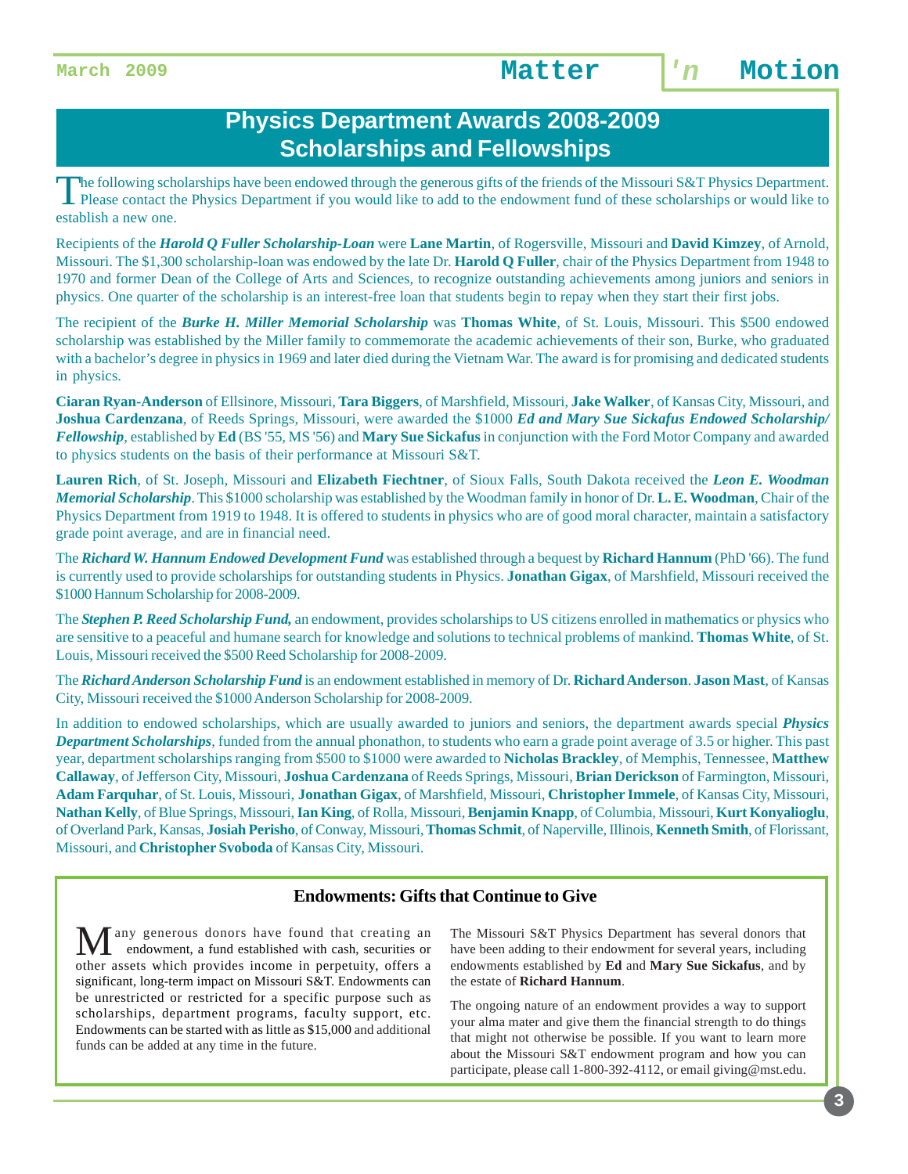### **Physics Department Awards 2008-2009 Scholarships and Fellowships**

The following scholarships have been endowed through the generous gifts of the friends of the Missouri S&T Physics Department. Please contact the Physics Department if you would like to add to the endowment fund of these scholarships or would like to establish a new one.

Recipients of the *Harold Q Fuller Scholarship-Loan* were **Lane Martin**, of Rogersville, Missouri and **David Kimzey**, of Arnold, Missouri. The \$1,300 scholarship-loan was endowed by the late Dr. **Harold Q Fuller**, chair of the Physics Department from 1948 to 1970 and former Dean of the College of Arts and Sciences, to recognize outstanding achievements among juniors and seniors in physics. One quarter of the scholarship is an interest-free loan that students begin to repay when they start their first jobs.

The recipient of the *Burke H. Miller Memorial Scholarship* was **Thomas White**, of St. Louis, Missouri. This \$500 endowed scholarship was established by the Miller family to commemorate the academic achievements of their son, Burke, who graduated with a bachelor's degree in physics in 1969 and later died during the Vietnam War. The award is for promising and dedicated students in physics.

**Ciaran Ryan-Anderson** of Ellsinore, Missouri, **Tara Biggers**, of Marshfield, Missouri, **Jake Walker**, of Kansas City, Missouri, and **Joshua Cardenzana**, of Reeds Springs, Missouri, were awarded the \$1000 *Ed and Mary Sue Sickafus Endowed Scholarship/ Fellowship*, established by **Ed** (BS '55, MS '56) and **Mary Sue Sickafus** in conjunction with the Ford Motor Company and awarded to physics students on the basis of their performance at Missouri S&T.

**Lauren Rich**, of St. Joseph, Missouri and **Elizabeth Fiechtner**, of Sioux Falls, South Dakota received the *Leon E. Woodman Memorial Scholarship*. This \$1000 scholarship was established by the Woodman family in honor of Dr. **L. E. Woodman**, Chair of the Physics Department from 1919 to 1948. It is offered to students in physics who are of good moral character, maintain a satisfactory grade point average, and are in financial need.

The *Richard W. Hannum Endowed Development Fund* was established through a bequest by **Richard Hannum** (PhD '66). The fund is currently used to provide scholarships for outstanding students in Physics. **Jonathan Gigax**, of Marshfield, Missouri received the \$1000 Hannum Scholarship for 2008-2009.

The *Stephen P. Reed Scholarship Fund,* an endowment, provides scholarships to US citizens enrolled in mathematics or physics who are sensitive to a peaceful and humane search for knowledge and solutions to technical problems of mankind. **Thomas White**, of St. Louis, Missouri received the \$500 Reed Scholarship for 2008-2009.

The *Richard Anderson Scholarship Fund* is an endowment established in memory of Dr. **Richard Anderson**. **Jason Mast**, of Kansas City, Missouri received the \$1000 Anderson Scholarship for 2008-2009.

In addition to endowed scholarships, which are usually awarded to juniors and seniors, the department awards special *Physics Department Scholarships*, funded from the annual phonathon, to students who earn a grade point average of 3.5 or higher. This past year, department scholarships ranging from \$500 to \$1000 were awarded to **Nicholas Brackley**, of Memphis, Tennessee, **Matthew Callaway**, of Jefferson City, Missouri, **Joshua Cardenzana** of Reeds Springs, Missouri, **Brian Derickson** of Farmington, Missouri, **Adam Farquhar**, of St. Louis, Missouri, **Jonathan Gigax**, of Marshfield, Missouri, **Christopher Immele**, of Kansas City, Missouri, **Nathan Kelly**, of Blue Springs, Missouri, **Ian King**, of Rolla, Missouri, **Benjamin Knapp**, of Columbia, Missouri, **Kurt Konyalioglu**, of Overland Park, Kansas, **Josiah Perisho**, of Conway, Missouri, **Thomas Schmit**, of Naperville, Illinois, **Kenneth Smith**, of Florissant, Missouri, and **Christopher Svoboda** of Kansas City, Missouri.

### **Endowments: Gifts that Continue to Give**

any generous donors have found that creating an endowment, a fund established with cash, securities or other assets which provides income in perpetuity, offers a significant, long-term impact on Missouri S&T. Endowments can be unrestricted or restricted for a specific purpose such as scholarships, department programs, faculty support, etc. Endowments can be started with as little as \$15,000 and additional funds can be added at any time in the future.

The Missouri S&T Physics Department has several donors that have been adding to their endowment for several years, including endowments established by **Ed** and **Mary Sue Sickafus**, and by the estate of **Richard Hannum**.

The ongoing nature of an endowment provides a way to support your alma mater and give them the financial strength to do things that might not otherwise be possible. If you want to learn more about the Missouri S&T endowment program and how you can participate, please call 1-800-392-4112, or email giving@mst.edu.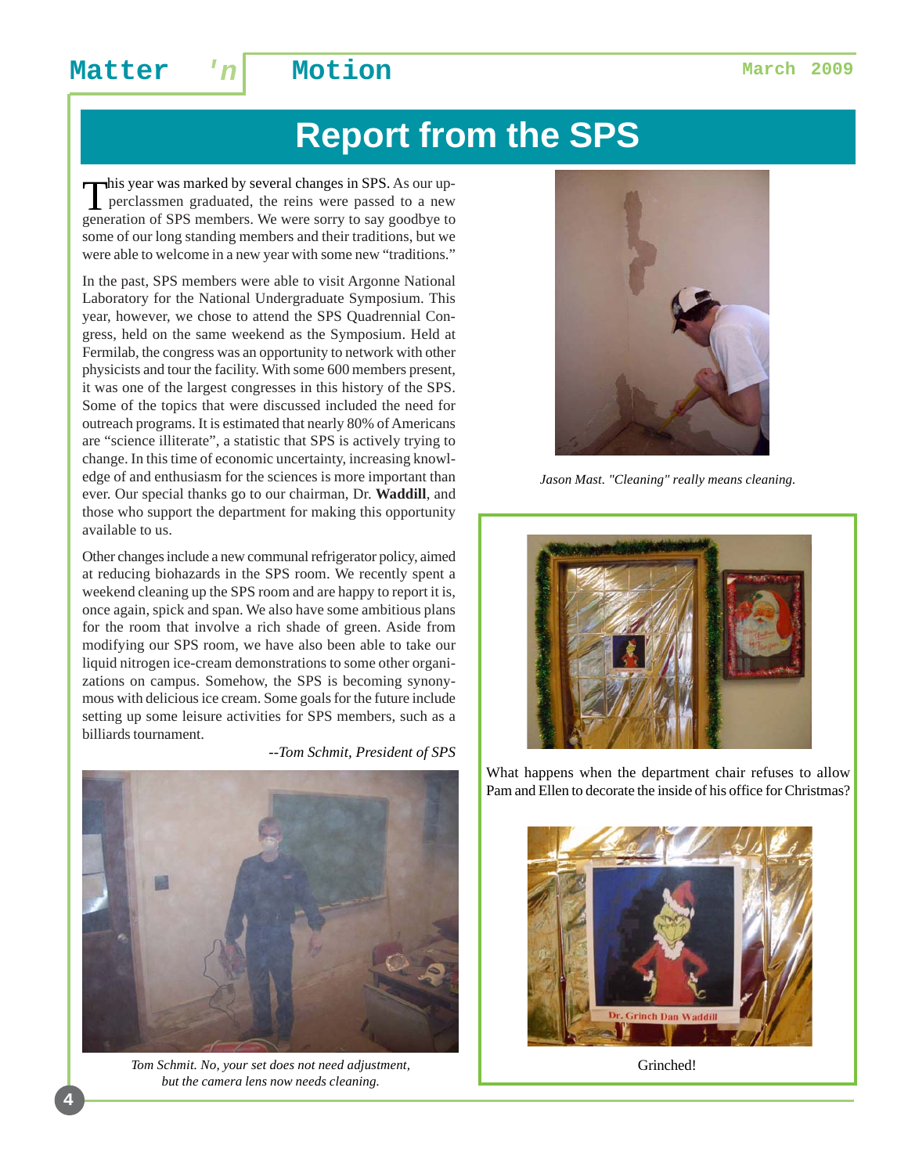# **Report from the SPS**

This year was marked by several changes in SPS. As our up-<br>perclassmen graduated, the reins were passed to a new generation of SPS members. We were sorry to say goodbye to some of our long standing members and their traditions, but we were able to welcome in a new year with some new "traditions."

In the past, SPS members were able to visit Argonne National Laboratory for the National Undergraduate Symposium. This year, however, we chose to attend the SPS Quadrennial Congress, held on the same weekend as the Symposium. Held at Fermilab, the congress was an opportunity to network with other physicists and tour the facility. With some 600 members present, it was one of the largest congresses in this history of the SPS. Some of the topics that were discussed included the need for outreach programs. It is estimated that nearly 80% of Americans are "science illiterate", a statistic that SPS is actively trying to change. In this time of economic uncertainty, increasing knowledge of and enthusiasm for the sciences is more important than ever. Our special thanks go to our chairman, Dr. **Waddill**, and those who support the department for making this opportunity available to us.

Other changes include a new communal refrigerator policy, aimed at reducing biohazards in the SPS room. We recently spent a weekend cleaning up the SPS room and are happy to report it is, once again, spick and span. We also have some ambitious plans for the room that involve a rich shade of green. Aside from modifying our SPS room, we have also been able to take our liquid nitrogen ice-cream demonstrations to some other organizations on campus. Somehow, the SPS is becoming synonymous with delicious ice cream. Some goals for the future include setting up some leisure activities for SPS members, such as a billiards tournament.

*--Tom Schmit, President of SPS*



*Tom Schmit. No, your set does not need adjustment, but the camera lens now needs cleaning.*



*Jason Mast. "Cleaning" really means cleaning.*



What happens when the department chair refuses to allow Pam and Ellen to decorate the inside of his office for Christmas?



Grinched!

**4**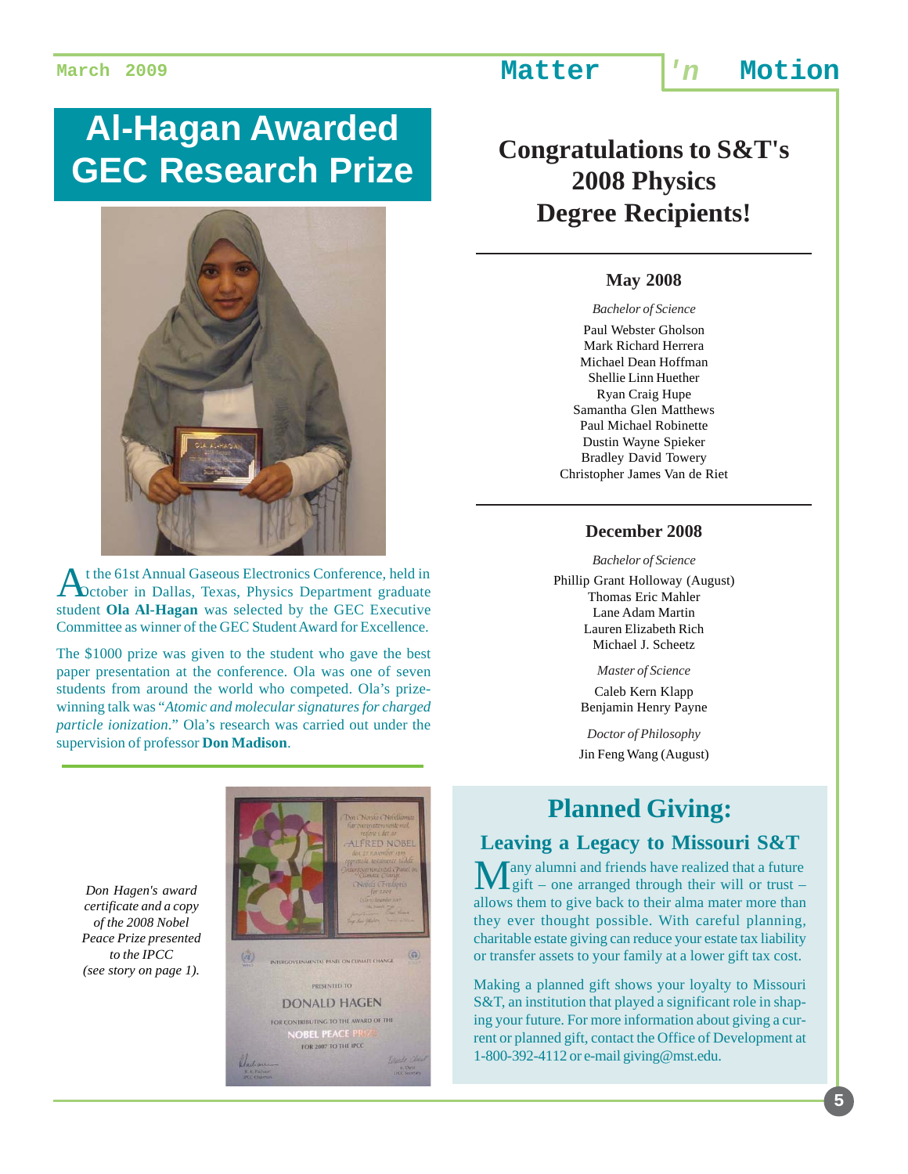# **Al-Hagan Awarded GEC Research Prize**



At the 61st Annual Gaseous Electronics Conference, held in October in Dallas, Texas, Physics Department graduate student **Ola Al-Hagan** was selected by the GEC Executive Committee as winner of the GEC Student Award for Excellence.

The \$1000 prize was given to the student who gave the best paper presentation at the conference. Ola was one of seven students from around the world who competed. Ola's prizewinning talk was "*Atomic and molecular signatures for charged particle ionization*." Ola's research was carried out under the supervision of professor **Don Madison**.

*Don Hagen's award certificate and a copy of the 2008 Nobel Peace Prize presented to the IPCC (see story on page 1).*



## **Congratulations to S&T's 2008 Physics Degree Recipients!**

### **May 2008**

### *Bachelor of Science*

Paul Webster Gholson Mark Richard Herrera Michael Dean Hoffman Shellie Linn Huether Ryan Craig Hupe Samantha Glen Matthews Paul Michael Robinette Dustin Wayne Spieker Bradley David Towery Christopher James Van de Riet

### **December 2008**

*Bachelor of Science*

Phillip Grant Holloway (August) Thomas Eric Mahler Lane Adam Martin Lauren Elizabeth Rich Michael J. Scheetz

*Master of Science*

Caleb Kern Klapp Benjamin Henry Payne

*Doctor of Philosophy* Jin Feng Wang (August)

## **Planned Giving:**

### **Leaving a Legacy to Missouri S&T**

Tany alumni and friends have realized that a future Lgift – one arranged through their will or trust – allows them to give back to their alma mater more than they ever thought possible. With careful planning, charitable estate giving can reduce your estate tax liability or transfer assets to your family at a lower gift tax cost.

Making a planned gift shows your loyalty to Missouri S&T, an institution that played a significant role in shaping your future. For more information about giving a current or planned gift, contact the Office of Development at 1-800-392-4112 or e-mail giving@mst.edu.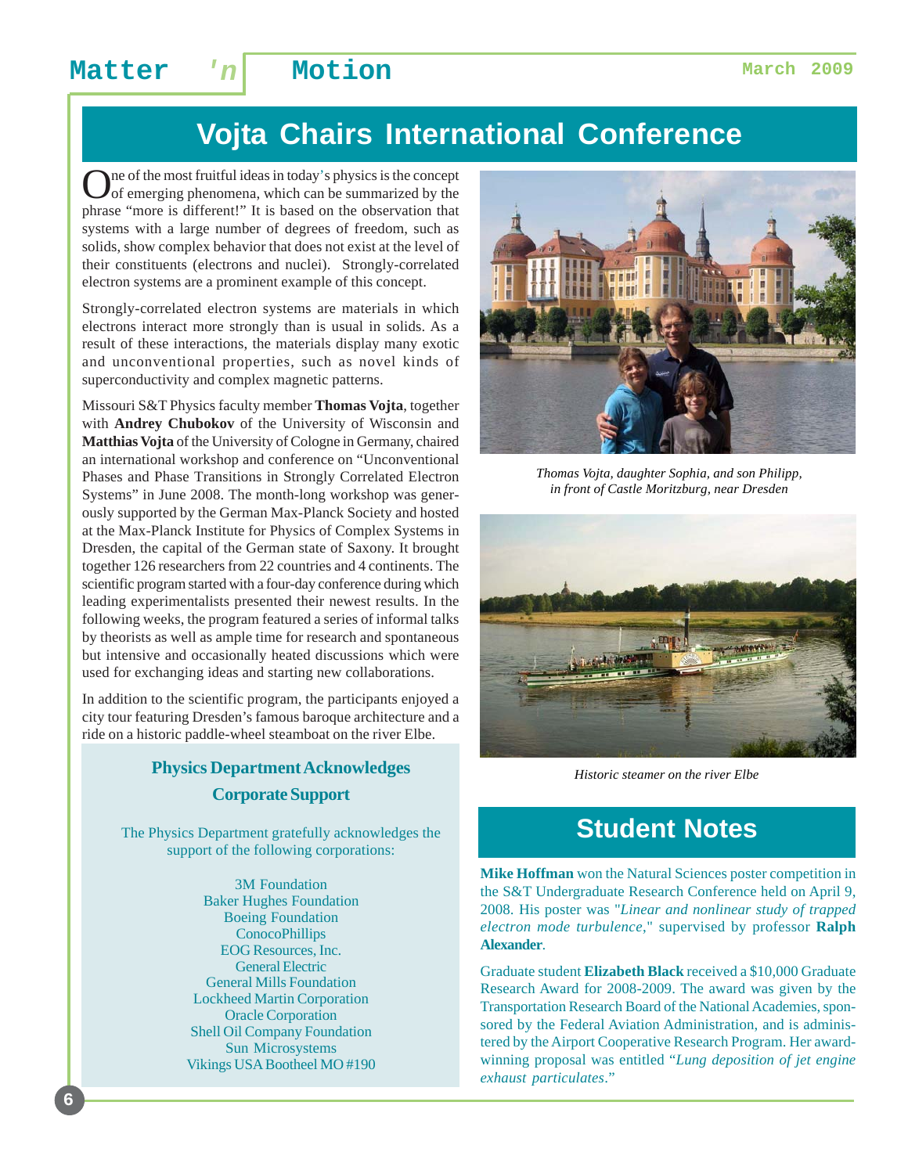# **Vojta Chairs International Conference**

One of the most fruitful ideas in today's physics is the concept of emerging phenomena, which can be summarized by the phrase "more is different!" It is based on the observation that systems with a large number of degrees of freedom, such as solids, show complex behavior that does not exist at the level of their constituents (electrons and nuclei). Strongly-correlated electron systems are a prominent example of this concept.

Strongly-correlated electron systems are materials in which electrons interact more strongly than is usual in solids. As a result of these interactions, the materials display many exotic and unconventional properties, such as novel kinds of superconductivity and complex magnetic patterns.

Missouri S&T Physics faculty member **Thomas Vojta**, together with **Andrey Chubokov** of the University of Wisconsin and **Matthias Vojta** of the University of Cologne in Germany, chaired an international workshop and conference on "Unconventional Phases and Phase Transitions in Strongly Correlated Electron Systems" in June 2008. The month-long workshop was generously supported by the German Max-Planck Society and hosted at the Max-Planck Institute for Physics of Complex Systems in Dresden, the capital of the German state of Saxony. It brought together 126 researchers from 22 countries and 4 continents. The scientific program started with a four-day conference during which leading experimentalists presented their newest results. In the following weeks, the program featured a series of informal talks by theorists as well as ample time for research and spontaneous but intensive and occasionally heated discussions which were used for exchanging ideas and starting new collaborations.

In addition to the scientific program, the participants enjoyed a city tour featuring Dresden's famous baroque architecture and a ride on a historic paddle-wheel steamboat on the river Elbe.

### **Physics Department Acknowledges Corporate Support**

The Physics Department gratefully acknowledges the support of the following corporations:

> 3M Foundation Baker Hughes Foundation Boeing Foundation **ConocoPhillips** EOG Resources, Inc. General Electric General Mills Foundation Lockheed Martin Corporation Oracle Corporation Shell Oil Company Foundation Sun Microsystems Vikings USA Bootheel MO #190



*Thomas Vojta, daughter Sophia, and son Philipp, in front of Castle Moritzburg, near Dresden*



*Historic steamer on the river Elbe*

## **Student Notes**

**Mike Hoffman** won the Natural Sciences poster competition in the S&T Undergraduate Research Conference held on April 9, 2008. His poster was "*Linear and nonlinear study of trapped electron mode turbulence*," supervised by professor **Ralph Alexander**.

Graduate student **Elizabeth Black** received a \$10,000 Graduate Research Award for 2008-2009. The award was given by the Transportation Research Board of the National Academies, sponsored by the Federal Aviation Administration, and is administered by the Airport Cooperative Research Program. Her awardwinning proposal was entitled "*Lung deposition of jet engine exhaust particulates*."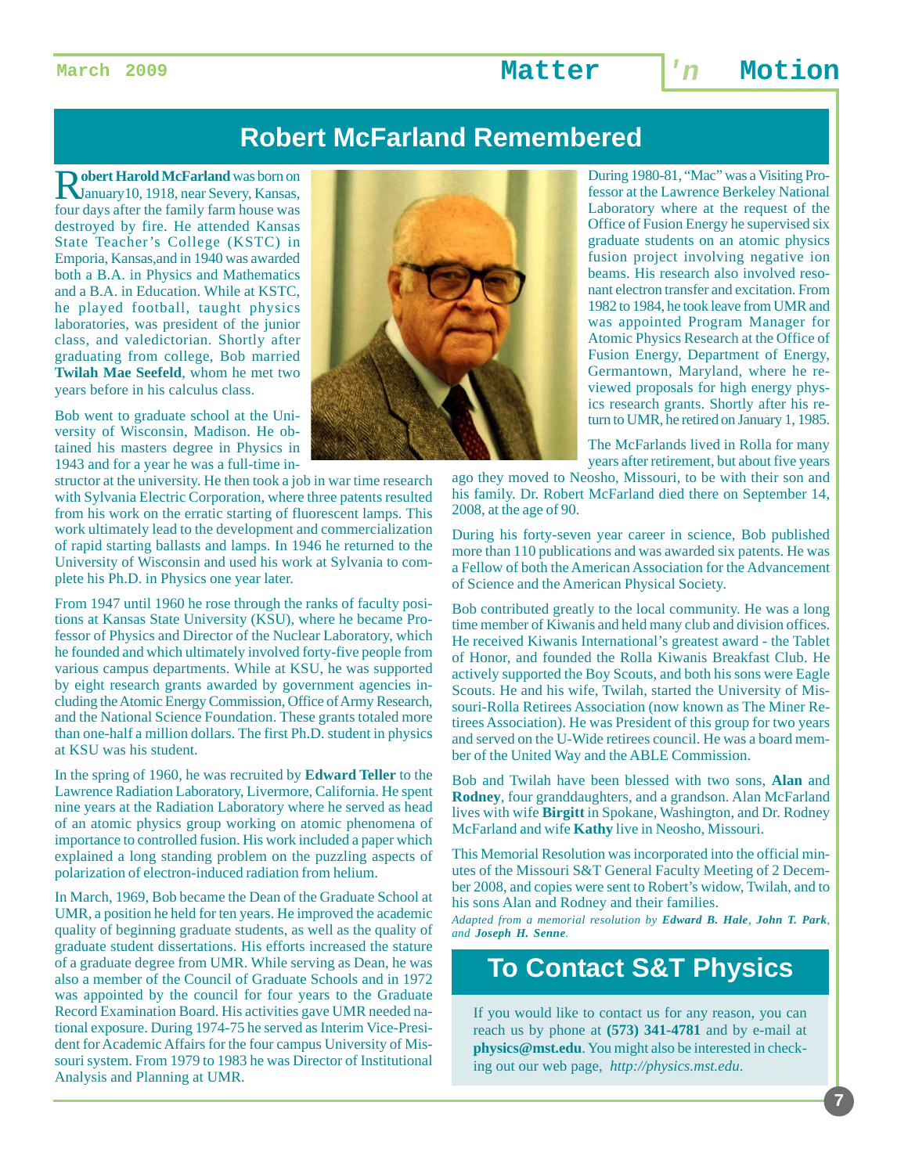### **Robert McFarland Remembered**

R**obert Harold McFarland** was born on January10, 1918, near Severy, Kansas, four days after the family farm house was destroyed by fire. He attended Kansas State Teacher's College (KSTC) in Emporia, Kansas,and in 1940 was awarded both a B.A. in Physics and Mathematics and a B.A. in Education. While at KSTC, he played football, taught physics laboratories, was president of the junior class, and valedictorian. Shortly after graduating from college, Bob married **Twilah Mae Seefeld**, whom he met two years before in his calculus class.

Bob went to graduate school at the University of Wisconsin, Madison. He obtained his masters degree in Physics in 1943 and for a year he was a full-time in-

structor at the university. He then took a job in war time research with Sylvania Electric Corporation, where three patents resulted from his work on the erratic starting of fluorescent lamps. This work ultimately lead to the development and commercialization of rapid starting ballasts and lamps. In 1946 he returned to the University of Wisconsin and used his work at Sylvania to complete his Ph.D. in Physics one year later.

From 1947 until 1960 he rose through the ranks of faculty positions at Kansas State University (KSU), where he became Professor of Physics and Director of the Nuclear Laboratory, which he founded and which ultimately involved forty-five people from various campus departments. While at KSU, he was supported by eight research grants awarded by government agencies including the Atomic Energy Commission, Office of Army Research, and the National Science Foundation. These grants totaled more than one-half a million dollars. The first Ph.D. student in physics at KSU was his student.

In the spring of 1960, he was recruited by **Edward Teller** to the Lawrence Radiation Laboratory, Livermore, California. He spent nine years at the Radiation Laboratory where he served as head of an atomic physics group working on atomic phenomena of importance to controlled fusion. His work included a paper which explained a long standing problem on the puzzling aspects of polarization of electron-induced radiation from helium.

In March, 1969, Bob became the Dean of the Graduate School at UMR, a position he held for ten years. He improved the academic quality of beginning graduate students, as well as the quality of graduate student dissertations. His efforts increased the stature of a graduate degree from UMR. While serving as Dean, he was also a member of the Council of Graduate Schools and in 1972 was appointed by the council for four years to the Graduate Record Examination Board. His activities gave UMR needed national exposure. During 1974-75 he served as Interim Vice-President for Academic Affairs for the four campus University of Missouri system. From 1979 to 1983 he was Director of Institutional Analysis and Planning at UMR.



During 1980-81, "Mac" was a Visiting Professor at the Lawrence Berkeley National Laboratory where at the request of the Office of Fusion Energy he supervised six graduate students on an atomic physics fusion project involving negative ion beams. His research also involved resonant electron transfer and excitation. From 1982 to 1984, he took leave from UMR and was appointed Program Manager for Atomic Physics Research at the Office of Fusion Energy, Department of Energy, Germantown, Maryland, where he reviewed proposals for high energy physics research grants. Shortly after his return to UMR, he retired on January 1, 1985.

The McFarlands lived in Rolla for many years after retirement, but about five years

ago they moved to Neosho, Missouri, to be with their son and his family. Dr. Robert McFarland died there on September 14, 2008, at the age of 90.

During his forty-seven year career in science, Bob published more than 110 publications and was awarded six patents. He was a Fellow of both the American Association for the Advancement of Science and the American Physical Society.

Bob contributed greatly to the local community. He was a long time member of Kiwanis and held many club and division offices. He received Kiwanis International's greatest award - the Tablet of Honor, and founded the Rolla Kiwanis Breakfast Club. He actively supported the Boy Scouts, and both his sons were Eagle Scouts. He and his wife, Twilah, started the University of Missouri-Rolla Retirees Association (now known as The Miner Retirees Association). He was President of this group for two years and served on the U-Wide retirees council. He was a board member of the United Way and the ABLE Commission.

Bob and Twilah have been blessed with two sons, **Alan** and **Rodney**, four granddaughters, and a grandson. Alan McFarland lives with wife **Birgitt** in Spokane, Washington, and Dr. Rodney McFarland and wife **Kathy** live in Neosho, Missouri.

This Memorial Resolution was incorporated into the official minutes of the Missouri S&T General Faculty Meeting of 2 December 2008, and copies were sent to Robert's widow, Twilah, and to his sons Alan and Rodney and their families.

*Adapted from a memorial resolution by Edward B. Hale, John T. Park, and Joseph H. Senne.*

### **To Contact S&T Physics**

If you would like to contact us for any reason, you can reach us by phone at **(573) 341-4781** and by e-mail at **physics@mst.edu**. You might also be interested in checking out our web page, *http://physics.mst.edu*.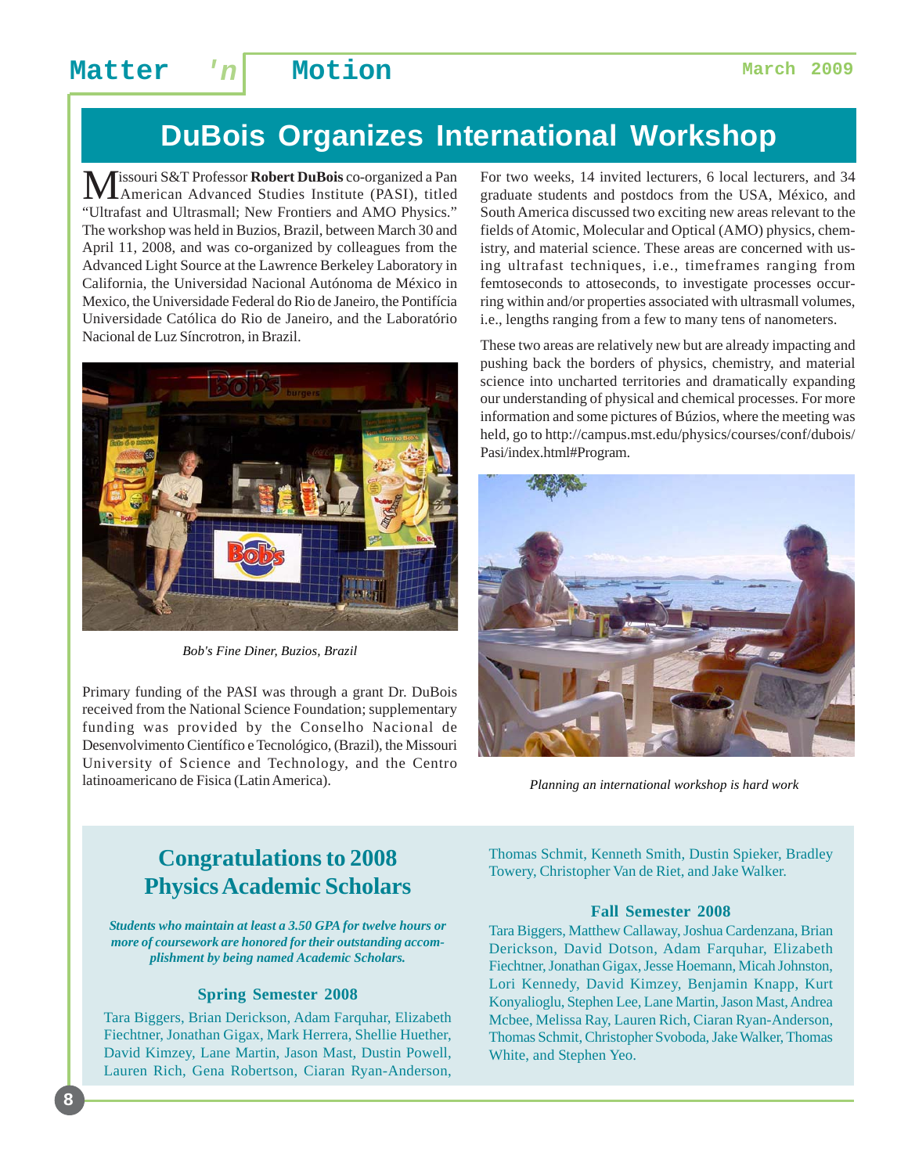# **DuBois Organizes International Workshop**

**M**issouri S&T Professor **Robert DuBois** co-organized a Pan<br>American Advanced Studies Institute (PASI), titled "Ultrafast and Ultrasmall; New Frontiers and AMO Physics." The workshop was held in Buzios, Brazil, between March 30 and April 11, 2008, and was co-organized by colleagues from the Advanced Light Source at the Lawrence Berkeley Laboratory in California, the Universidad Nacional Autónoma de México in Mexico, the Universidade Federal do Rio de Janeiro, the Pontifícia Universidade Católica do Rio de Janeiro, and the Laboratório Nacional de Luz Síncrotron, in Brazil.



*Bob's Fine Diner, Buzios, Brazil*

Primary funding of the PASI was through a grant Dr. DuBois received from the National Science Foundation; supplementary funding was provided by the Conselho Nacional de Desenvolvimento Científico e Tecnológico, (Brazil), the Missouri University of Science and Technology, and the Centro latinoamericano de Fisica (Latin America).

For two weeks, 14 invited lecturers, 6 local lecturers, and 34 graduate students and postdocs from the USA, México, and South America discussed two exciting new areas relevant to the fields of Atomic, Molecular and Optical (AMO) physics, chemistry, and material science. These areas are concerned with using ultrafast techniques, i.e., timeframes ranging from femtoseconds to attoseconds, to investigate processes occurring within and/or properties associated with ultrasmall volumes, i.e., lengths ranging from a few to many tens of nanometers.

These two areas are relatively new but are already impacting and pushing back the borders of physics, chemistry, and material science into uncharted territories and dramatically expanding our understanding of physical and chemical processes. For more information and some pictures of Búzios, where the meeting was held, go to http://campus.mst.edu/physics/courses/conf/dubois/ Pasi/index.html#Program.



*Planning an international workshop is hard work*

### **Congratulations to 2008 Physics Academic Scholars**

*Students who maintain at least a 3.50 GPA for twelve hours or more of coursework are honored for their outstanding accomplishment by being named Academic Scholars.*

### **Spring Semester 2008**

Tara Biggers, Brian Derickson, Adam Farquhar, Elizabeth Fiechtner, Jonathan Gigax, Mark Herrera, Shellie Huether, David Kimzey, Lane Martin, Jason Mast, Dustin Powell, Lauren Rich, Gena Robertson, Ciaran Ryan-Anderson, Thomas Schmit, Kenneth Smith, Dustin Spieker, Bradley Towery, Christopher Van de Riet, and Jake Walker.

### **Fall Semester 2008**

Tara Biggers, Matthew Callaway, Joshua Cardenzana, Brian Derickson, David Dotson, Adam Farquhar, Elizabeth Fiechtner, Jonathan Gigax, Jesse Hoemann, Micah Johnston, Lori Kennedy, David Kimzey, Benjamin Knapp, Kurt Konyalioglu, Stephen Lee, Lane Martin, Jason Mast, Andrea Mcbee, Melissa Ray, Lauren Rich, Ciaran Ryan-Anderson, Thomas Schmit, Christopher Svoboda, Jake Walker, Thomas White, and Stephen Yeo.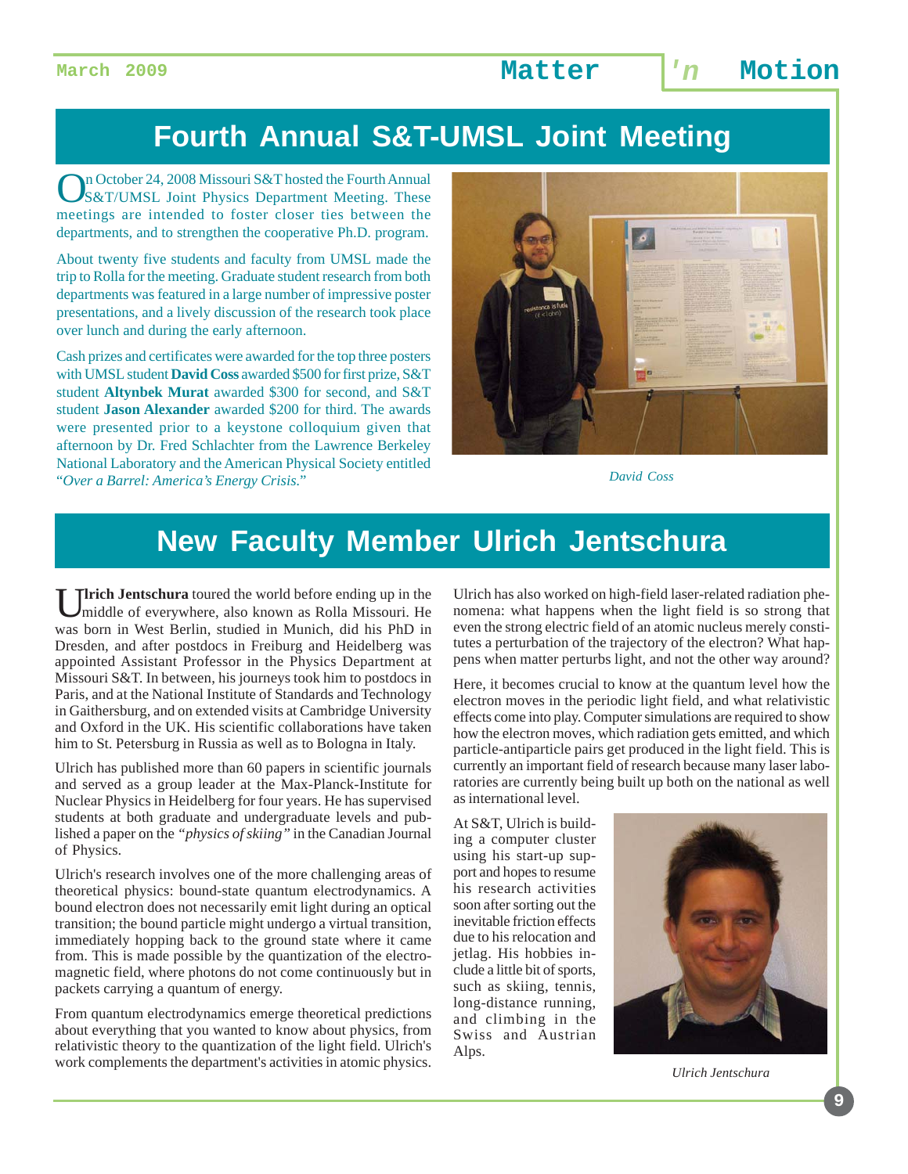# **Fourth Annual S&T-UMSL Joint Meeting**

On October 24, 2008 Missouri S&T hosted the Fourth Annual<br>S&T/UMSL Joint Physics Department Meeting. These meetings are intended to foster closer ties between the departments, and to strengthen the cooperative Ph.D. program.

About twenty five students and faculty from UMSL made the trip to Rolla for the meeting. Graduate student research from both departments was featured in a large number of impressive poster presentations, and a lively discussion of the research took place over lunch and during the early afternoon.

Cash prizes and certificates were awarded for the top three posters with UMSL student **David Coss** awarded \$500 for first prize, S&T student **Altynbek Murat** awarded \$300 for second, and S&T student **Jason Alexander** awarded \$200 for third. The awards were presented prior to a keystone colloquium given that afternoon by Dr. Fred Schlachter from the Lawrence Berkeley National Laboratory and the American Physical Society entitled "*Over a Barrel: America's Energy Crisis*." *David Coss*



# **New Faculty Member Ulrich Jentschura**

Ulrich Jentschura toured the world before ending up in the middle of everywhere, also known as Rolla Missouri. He was born in West Berlin, studied in Munich, did his PhD in Dresden, and after postdocs in Freiburg and Heidelberg was appointed Assistant Professor in the Physics Department at Missouri S&T. In between, his journeys took him to postdocs in Paris, and at the National Institute of Standards and Technology in Gaithersburg, and on extended visits at Cambridge University and Oxford in the UK. His scientific collaborations have taken him to St. Petersburg in Russia as well as to Bologna in Italy.

Ulrich has published more than 60 papers in scientific journals and served as a group leader at the Max-Planck-Institute for Nuclear Physics in Heidelberg for four years. He has supervised students at both graduate and undergraduate levels and published a paper on the *"physics of skiing"* in the Canadian Journal of Physics.

Ulrich's research involves one of the more challenging areas of theoretical physics: bound-state quantum electrodynamics. A bound electron does not necessarily emit light during an optical transition; the bound particle might undergo a virtual transition, immediately hopping back to the ground state where it came from. This is made possible by the quantization of the electromagnetic field, where photons do not come continuously but in packets carrying a quantum of energy.

From quantum electrodynamics emerge theoretical predictions about everything that you wanted to know about physics, from relativistic theory to the quantization of the light field. Ulrich's work complements the department's activities in atomic physics.

Ulrich has also worked on high-field laser-related radiation phenomena: what happens when the light field is so strong that even the strong electric field of an atomic nucleus merely constitutes a perturbation of the trajectory of the electron? What happens when matter perturbs light, and not the other way around?

Here, it becomes crucial to know at the quantum level how the electron moves in the periodic light field, and what relativistic effects come into play. Computer simulations are required to show how the electron moves, which radiation gets emitted, and which particle-antiparticle pairs get produced in the light field. This is currently an important field of research because many laser laboratories are currently being built up both on the national as well as international level.

At S&T, Ulrich is building a computer cluster using his start-up support and hopes to resume his research activities soon after sorting out the inevitable friction effects due to his relocation and jetlag. His hobbies include a little bit of sports, such as skiing, tennis, long-distance running, and climbing in the Swiss and Austrian Alps.



*Ulrich Jentschura*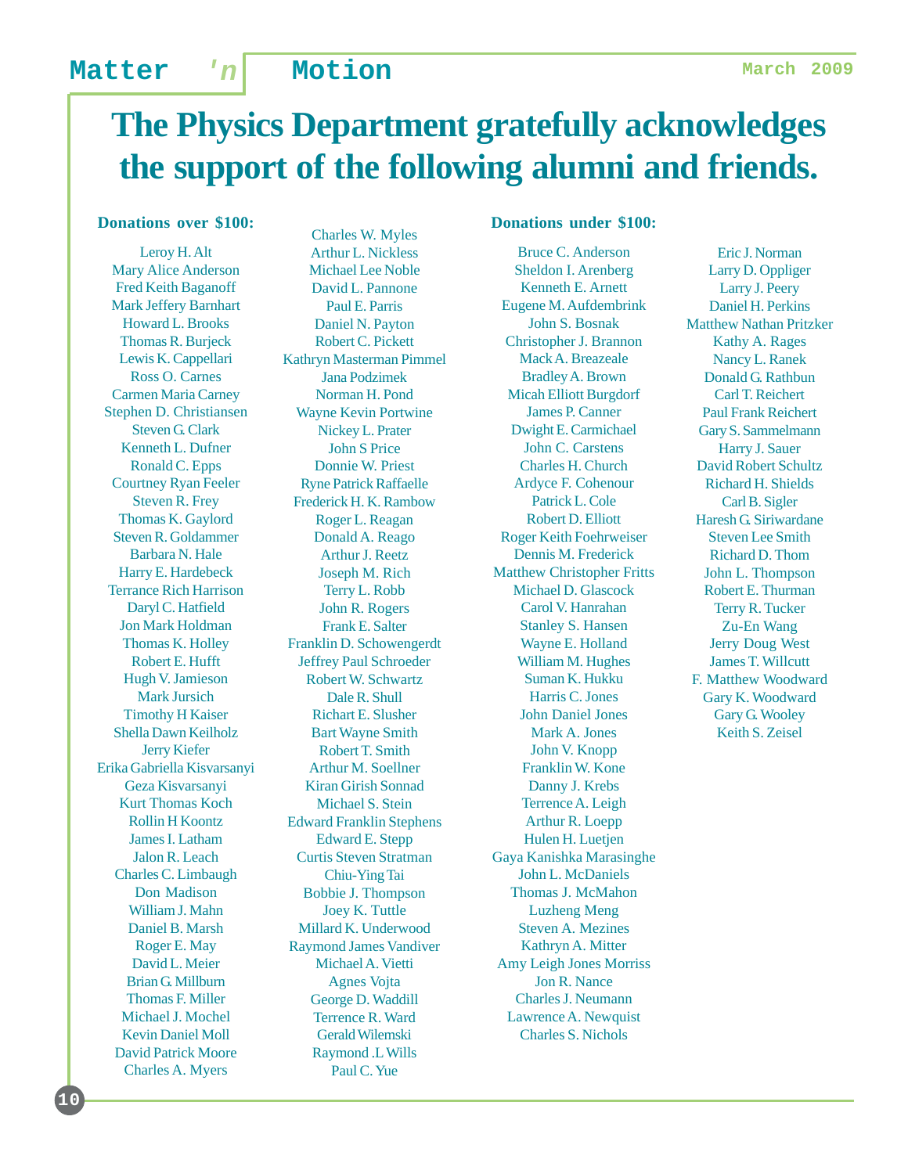# **The Physics Department gratefully acknowledges the support of the following alumni and friends.**

### **Donations over \$100:**

Leroy H. Alt Mary Alice Anderson Fred Keith Baganoff Mark Jeffery Barnhart Howard L. Brooks Thomas R. Burjeck Lewis K. Cappellari Ross O. Carnes Carmen Maria Carney Stephen D. Christiansen Steven G. Clark Kenneth L. Dufner Ronald C. Epps Courtney Ryan Feeler Steven R. Frey Thomas K. Gaylord Steven R. Goldammer Barbara N. Hale Harry E. Hardebeck Terrance Rich Harrison Daryl C. Hatfield Jon Mark Holdman Thomas K. Holley Robert E. Hufft Hugh V. Jamieson Mark Jursich Timothy H Kaiser Shella Dawn Keilholz Jerry Kiefer Erika Gabriella Kisvarsanyi Geza Kisvarsanyi Kurt Thomas Koch Rollin H Koontz James I. Latham Jalon R. Leach Charles C. Limbaugh Don Madison William J. Mahn Daniel B. Marsh Roger E. May David L. Meier Brian G. Millburn Thomas F. Miller Michael J. Mochel Kevin Daniel Moll David Patrick Moore Charles A. Myers

**10**

Charles W. Myles Arthur L. Nickless Michael Lee Noble David L. Pannone Paul E. Parris Daniel N. Payton Robert C. Pickett Kathryn Masterman Pimmel Jana Podzimek Norman H. Pond Wayne Kevin Portwine Nickey L. Prater John S Price Donnie W. Priest Ryne Patrick Raffaelle Frederick H. K. Rambow Roger L. Reagan Donald A. Reago Arthur J. Reetz Joseph M. Rich Terry L. Robb John R. Rogers Frank E. Salter Franklin D. Schowengerdt Jeffrey Paul Schroeder Robert W. Schwartz Dale R. Shull Richart E. Slusher Bart Wayne Smith Robert T. Smith Arthur M. Soellner Kiran Girish Sonnad Michael S. Stein Edward Franklin Stephens Edward E. Stepp Curtis Steven Stratman Chiu-Ying Tai Bobbie J. Thompson Joey K. Tuttle Millard K. Underwood Raymond James Vandiver Michael A. Vietti Agnes Vojta George D. Waddill Terrence R. Ward Gerald Wilemski Raymond .L Wills Paul C. Yue

### **Donations under \$100:**

Bruce C. Anderson Sheldon I. Arenberg Kenneth E. Arnett Eugene M. Aufdembrink John S. Bosnak Christopher J. Brannon Mack A. Breazeale Bradley A. Brown Micah Elliott Burgdorf James P. Canner Dwight E. Carmichael John C. Carstens Charles H. Church Ardyce F. Cohenour Patrick L. Cole Robert D. Elliott Roger Keith Foehrweiser Dennis M. Frederick Matthew Christopher Fritts Michael D. Glascock Carol V. Hanrahan Stanley S. Hansen Wayne E. Holland William M. Hughes Suman K. Hukku Harris C. Jones John Daniel Jones Mark A. Jones John V. Knopp Franklin W. Kone Danny J. Krebs Terrence A. Leigh Arthur R. Loepp Hulen H. Luetjen Gaya Kanishka Marasinghe John L. McDaniels Thomas J. McMahon Luzheng Meng Steven A. Mezines Kathryn A. Mitter Amy Leigh Jones Morriss Jon R. Nance Charles J. Neumann Lawrence A. Newquist Charles S. Nichols

Eric J. Norman Larry D. Oppliger Larry J. Peery Daniel H. Perkins Matthew Nathan Pritzker Kathy A. Rages Nancy L. Ranek Donald G. Rathbun Carl T. Reichert Paul Frank Reichert Gary S. Sammelmann Harry J. Sauer David Robert Schultz Richard H. Shields Carl B. Sigler Haresh G. Siriwardane Steven Lee Smith Richard D. Thom John L. Thompson Robert E. Thurman Terry R. Tucker Zu-En Wang Jerry Doug West James T. Willcutt F. Matthew Woodward Gary K. Woodward Gary G. Wooley Keith S. Zeisel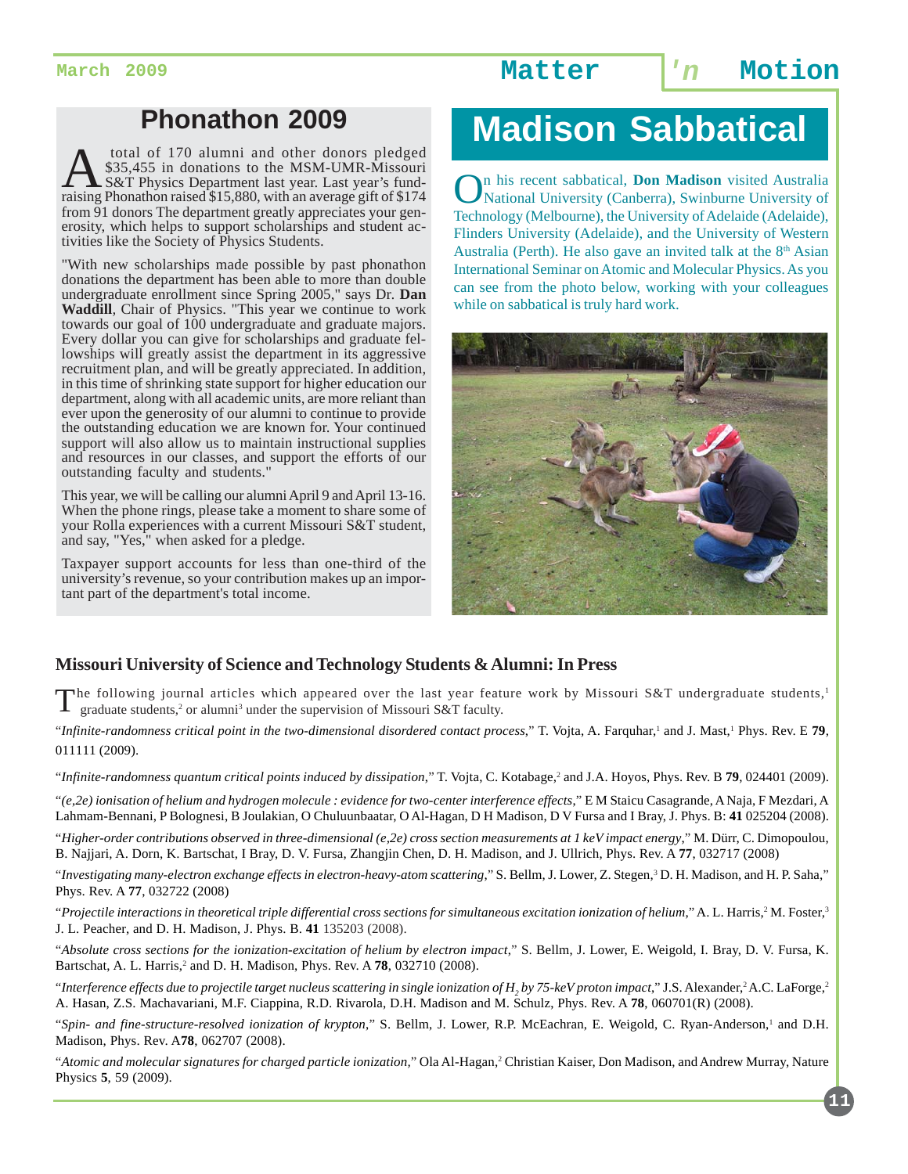## **Phonathon 2009**

total of 170 alumni and other donors pledged<br>
S&T Physics Department last year. Last year's fund-<br>
raising Phonathon raised \$15,880 with an average gift of \$174 \$35,455 in donations to the MSM-UMR-Missouri raising Phonathon raised \$15,880, with an average gift of \$174 from 91 donors The department greatly appreciates your generosity, which helps to support scholarships and student activities like the Society of Physics Students.

"With new scholarships made possible by past phonathon donations the department has been able to more than double undergraduate enrollment since Spring 2005," says Dr*.* **Dan Waddill***,* Chair of Physics. "This year we continue to work towards our goal of 100 undergraduate and graduate majors. Every dollar you can give for scholarships and graduate fellowships will greatly assist the department in its aggressive recruitment plan, and will be greatly appreciated. In addition, in this time of shrinking state support for higher education our department, along with all academic units, are more reliant than ever upon the generosity of our alumni to continue to provide the outstanding education we are known for. Your continued support will also allow us to maintain instructional supplies and resources in our classes, and support the efforts of our outstanding faculty and students."

This year, we will be calling our alumni April 9 and April 13-16. When the phone rings, please take a moment to share some of your Rolla experiences with a current Missouri S&T student, and say, "Yes," when asked for a pledge.

Taxpayer support accounts for less than one-third of the university's revenue, so your contribution makes up an important part of the department's total income.

# **Madison Sabbatical**

On his recent sabbatical, **Don Madison** visited Australia National University (Canberra), Swinburne University of Technology (Melbourne), the University of Adelaide (Adelaide), Flinders University (Adelaide), and the University of Western Australia (Perth). He also gave an invited talk at the  $8<sup>th</sup>$  Asian International Seminar on Atomic and Molecular Physics. As you can see from the photo below, working with your colleagues while on sabbatical is truly hard work.



### **Missouri University of Science and Technology Students & Alumni: In Press**

The following journal articles which appeared over the last year feature work by Missouri S&T undergraduate students,<sup>1</sup><br>T graduate students<sup>2</sup> or alumn<sup>13</sup> under the cunomician 1534: 1505. 1505.  $\Box$  graduate students,<sup>2</sup> or alumni<sup>3</sup> under the supervision of Missouri S&T faculty.

"Infinite-randomness critical point in the two-dimensional disordered contact process," T. Vojta, A. Farquhar,<sup>1</sup> and J. Mast,<sup>1</sup> Phys. Rev. E **79**, 011111 (2009).

"Infinite-randomness quantum critical points induced by dissipation," T. Vojta, C. Kotabage,<sup>2</sup> and J.A. Hoyos, Phys. Rev. B **79**, 024401 (2009).

"*(e,2e) ionisation of helium and hydrogen molecule : evidence for two-center interference effects*," E M Staicu Casagrande, A Naja, F Mezdari, A Lahmam-Bennani, P Bolognesi, B Joulakian, O Chuluunbaatar, O Al-Hagan, D H Madison, D V Fursa and I Bray, J. Phys. B: **41** 025204 (2008).

"*Higher-order contributions observed in three-dimensional (e,2e) cross section measurements at 1 keV impact energy*," M. Dürr, C. Dimopoulou, B. Najjari, A. Dorn, K. Bartschat, I Bray, D. V. Fursa, Zhangjin Chen, D. H. Madison, and J. Ullrich, Phys. Rev. A **77**, 032717 (2008)

"*Investigating many-electron exchange effects in electron-heavy-atom scattering*," S. Bellm, J. Lower, Z. Stegen,3 D. H. Madison, and H. P. Saha," Phys. Rev. A **77**, 032722 (2008)

"Projectile interactions in theoretical triple differential cross sections for simultaneous excitation ionization of helium," A. L. Harris,<sup>2</sup> M. Foster,<sup>3</sup> J. L. Peacher, and D. H. Madison, J. Phys. B. **41** 135203 (2008).

"*Absolute cross sections for the ionization-excitation of helium by electron impact*," S. Bellm, J. Lower, E. Weigold, I. Bray, D. V. Fursa, K. Bartschat, A. L. Harris,<sup>2</sup> and D. H. Madison, Phys. Rev. A 78, 032710 (2008).

"Interference effects due to projectile target nucleus scattering in single ionization of  $H_{_2}$ by 75-keV proton impact," J.S. Alexander,<sup>2</sup> A.C. LaForge,<sup>2</sup> A. Hasan, Z.S. Machavariani, M.F. Ciappina, R.D. Rivarola, D.H. Madison and M. Schulz, Phys. Rev. A **78**, 060701(R) (2008).

"Spin- and fine-structure-resolved ionization of krypton," S. Bellm, J. Lower, R.P. McEachran, E. Weigold, C. Ryan-Anderson,<sup>1</sup> and D.H. Madison, Phys. Rev. A**78**, 062707 (2008).

"*Atomic and molecular signatures for charged particle ionization,*" Ola Al-Hagan,2 Christian Kaiser, Don Madison, and Andrew Murray, Nature Physics **5**, 59 (2009).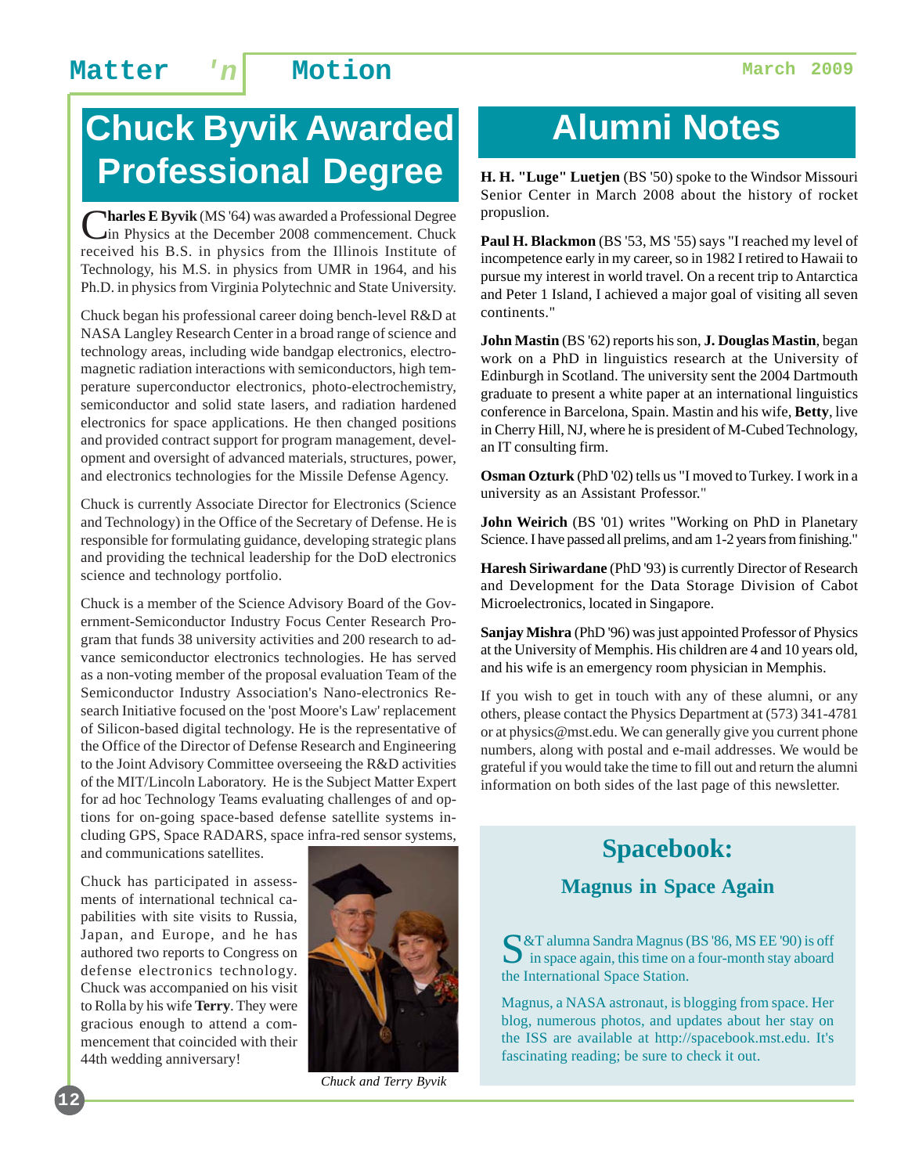# **Chuck Byvik Awarded Professional Degree**

**Tharles E Byvik** (MS '64) was awarded a Professional Degree in Physics at the December 2008 commencement. Chuck received his B.S. in physics from the Illinois Institute of Technology, his M.S. in physics from UMR in 1964, and his Ph.D. in physics from Virginia Polytechnic and State University.

Chuck began his professional career doing bench-level R&D at NASA Langley Research Center in a broad range of science and technology areas, including wide bandgap electronics, electromagnetic radiation interactions with semiconductors, high temperature superconductor electronics, photo-electrochemistry, semiconductor and solid state lasers, and radiation hardened electronics for space applications. He then changed positions and provided contract support for program management, development and oversight of advanced materials, structures, power, and electronics technologies for the Missile Defense Agency.

Chuck is currently Associate Director for Electronics (Science and Technology) in the Office of the Secretary of Defense. He is responsible for formulating guidance, developing strategic plans and providing the technical leadership for the DoD electronics science and technology portfolio.

Chuck is a member of the Science Advisory Board of the Government-Semiconductor Industry Focus Center Research Program that funds 38 university activities and 200 research to advance semiconductor electronics technologies. He has served as a non-voting member of the proposal evaluation Team of the Semiconductor Industry Association's Nano-electronics Research Initiative focused on the 'post Moore's Law' replacement of Silicon-based digital technology. He is the representative of the Office of the Director of Defense Research and Engineering to the Joint Advisory Committee overseeing the R&D activities of the MIT/Lincoln Laboratory. He is the Subject Matter Expert for ad hoc Technology Teams evaluating challenges of and options for on-going space-based defense satellite systems including GPS, Space RADARS, space infra-red sensor systems,

and communications satellites.

Chuck has participated in assessments of international technical capabilities with site visits to Russia, Japan, and Europe, and he has authored two reports to Congress on defense electronics technology. Chuck was accompanied on his visit to Rolla by his wife **Terry**. They were gracious enough to attend a commencement that coincided with their 44th wedding anniversary!

**12**



*Chuck and Terry Byvik*

# **Alumni Notes**

**H. H. "Luge" Luetjen** (BS '50) spoke to the Windsor Missouri Senior Center in March 2008 about the history of rocket propuslion.

**Paul H. Blackmon** (BS '53, MS '55) says "I reached my level of incompetence early in my career, so in 1982 I retired to Hawaii to pursue my interest in world travel. On a recent trip to Antarctica and Peter 1 Island, I achieved a major goal of visiting all seven continents."

**John Mastin** (BS '62) reports his son, **J. Douglas Mastin**, began work on a PhD in linguistics research at the University of Edinburgh in Scotland. The university sent the 2004 Dartmouth graduate to present a white paper at an international linguistics conference in Barcelona, Spain. Mastin and his wife, **Betty**, live in Cherry Hill, NJ, where he is president of M-Cubed Technology, an IT consulting firm.

**Osman Ozturk** (PhD '02) tells us "I moved to Turkey. I work in a university as an Assistant Professor."

**John Weirich** (BS '01) writes "Working on PhD in Planetary Science. I have passed all prelims, and am 1-2 years from finishing."

**Haresh Siriwardane** (PhD '93) is currently Director of Research and Development for the Data Storage Division of Cabot Microelectronics, located in Singapore.

**Sanjay Mishra** (PhD '96) was just appointed Professor of Physics at the University of Memphis. His children are 4 and 10 years old, and his wife is an emergency room physician in Memphis.

If you wish to get in touch with any of these alumni, or any others, please contact the Physics Department at (573) 341-4781 or at physics@mst.edu. We can generally give you current phone numbers, along with postal and e-mail addresses. We would be grateful if you would take the time to fill out and return the alumni information on both sides of the last page of this newsletter.

## **Spacebook:**

### **Magnus in Space Again**

S&T alumna Sandra Magnus (BS '86, MS EE '90) is off  $\Box$  in space again, this time on a four-month stay aboard the International Space Station.

Magnus, a NASA astronaut, is blogging from space. Her blog, numerous photos, and updates about her stay on the ISS are available at http://spacebook.mst.edu. It's fascinating reading; be sure to check it out.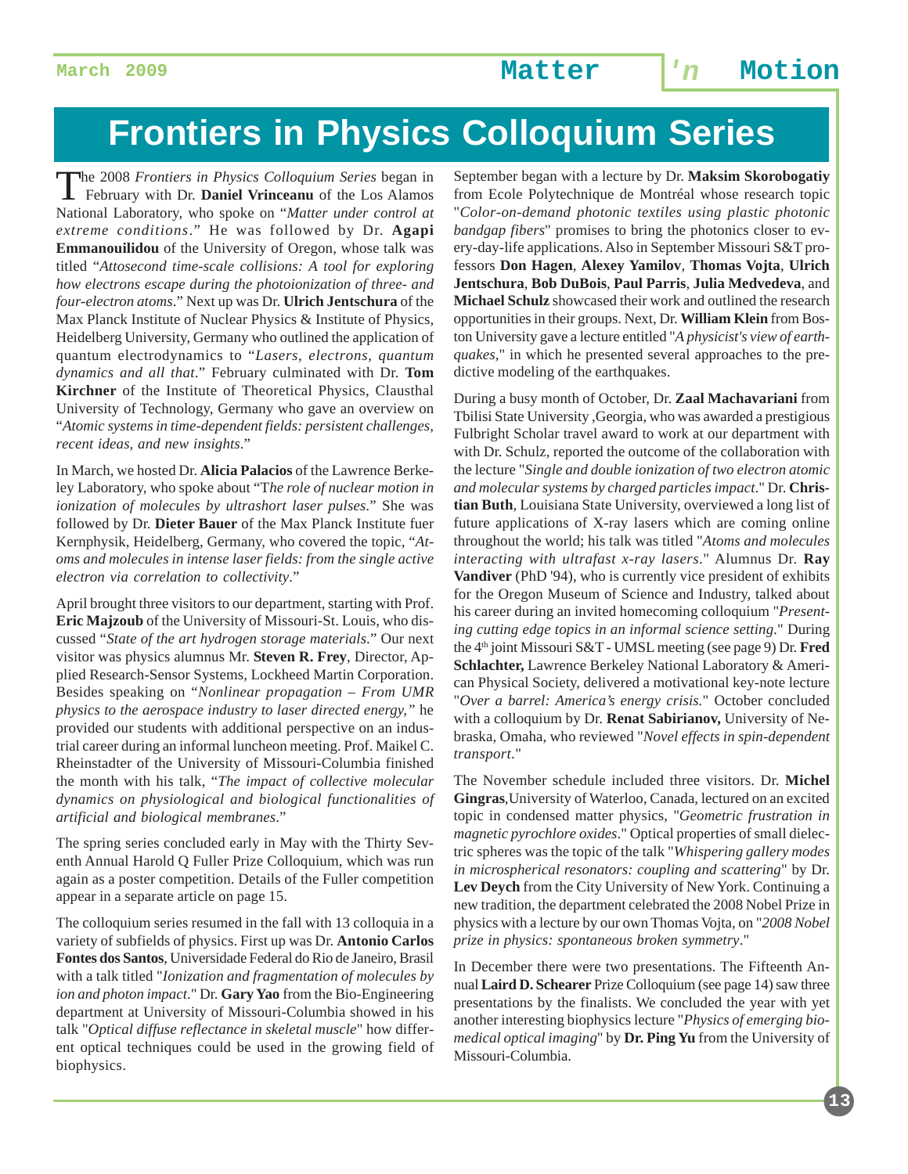# **Frontiers in Physics Colloquium Series**

The 2008 *Frontiers in Physics Colloquium Series* began in February with Dr. **Daniel Vrinceanu** of the Los Alamos National Laboratory, who spoke on "*Matter under control at extreme conditions*." He was followed by Dr. **Agapi Emmanouilidou** of the University of Oregon, whose talk was titled "*Attosecond time-scale collisions: A tool for exploring how electrons escape during the photoionization of three- and four-electron atoms*." Next up was Dr. **Ulrich Jentschura** of the Max Planck Institute of Nuclear Physics & Institute of Physics, Heidelberg University, Germany who outlined the application of quantum electrodynamics to "*Lasers, electrons, quantum dynamics and all that*." February culminated with Dr. **Tom Kirchner** of the Institute of Theoretical Physics, Clausthal University of Technology, Germany who gave an overview on "*Atomic systems in time-dependent fields: persistent challenges, recent ideas, and new insights*."

In March, we hosted Dr. **Alicia Palacios** of the Lawrence Berkeley Laboratory, who spoke about "T*he role of nuclear motion in ionization of molecules by ultrashort laser pulses*." She was followed by Dr. **Dieter Bauer** of the Max Planck Institute fuer Kernphysik, Heidelberg, Germany, who covered the topic, "*Atoms and molecules in intense laser fields: from the single active electron via correlation to collectivity*."

April brought three visitors to our department, starting with Prof. **Eric Majzoub** of the University of Missouri-St. Louis, who discussed "*State of the art hydrogen storage materials*." Our next visitor was physics alumnus Mr. **Steven R. Frey**, Director, Applied Research-Sensor Systems, Lockheed Martin Corporation. Besides speaking on "*Nonlinear propagation – From UMR physics to the aerospace industry to laser directed energy,"* he provided our students with additional perspective on an industrial career during an informal luncheon meeting. Prof. Maikel C. Rheinstadter of the University of Missouri-Columbia finished the month with his talk, "*The impact of collective molecular dynamics on physiological and biological functionalities of artificial and biological membranes*."

The spring series concluded early in May with the Thirty Seventh Annual Harold Q Fuller Prize Colloquium, which was run again as a poster competition. Details of the Fuller competition appear in a separate article on page 15.

The colloquium series resumed in the fall with 13 colloquia in a variety of subfields of physics. First up was Dr. **Antonio Carlos Fontes dos Santos**, Universidade Federal do Rio de Janeiro, Brasil with a talk titled "*Ionization and fragmentation of molecules by ion and photon impact*." Dr. **Gary Yao** from the Bio-Engineering department at University of Missouri-Columbia showed in his talk "*Optical diffuse reflectance in skeletal muscle*" how different optical techniques could be used in the growing field of biophysics.

September began with a lecture by Dr. **Maksim Skorobogatiy** from Ecole Polytechnique de Montréal whose research topic "*Color-on-demand photonic textiles using plastic photonic bandgap fibers*" promises to bring the photonics closer to every-day-life applications. Also in September Missouri S&T professors **Don Hagen**, **Alexey Yamilov**, **Thomas Vojta**, **Ulrich Jentschura**, **Bob DuBois**, **Paul Parris**, **Julia Medvedeva**, and **Michael Schulz** showcased their work and outlined the research opportunities in their groups. Next, Dr. **William Klein** from Boston University gave a lecture entitled "*A physicist's view of earthquakes,*" in which he presented several approaches to the predictive modeling of the earthquakes.

During a busy month of October, Dr. **Zaal Machavariani** from Tbilisi State University ,Georgia, who was awarded a prestigious Fulbright Scholar travel award to work at our department with with Dr. Schulz, reported the outcome of the collaboration with the lecture "*Single and double ionization of two electron atomic and molecular systems by charged particles impact*." Dr. **Christian Buth**, Louisiana State University, overviewed a long list of future applications of X-ray lasers which are coming online throughout the world; his talk was titled "*Atoms and molecules interacting with ultrafast x-ray lasers*." Alumnus Dr. **Ray Vandiver** (PhD '94), who is currently vice president of exhibits for the Oregon Museum of Science and Industry, talked about his career during an invited homecoming colloquium "*Presenting cutting edge topics in an informal science setting*." During the 4th joint Missouri S&T - UMSL meeting (see page 9) Dr. **Fred Schlachter,** Lawrence Berkeley National Laboratory & American Physical Society, delivered a motivational key-note lecture "*Over a barrel: America's energy crisis.*" October concluded with a colloquium by Dr. **Renat Sabirianov,** University of Nebraska, Omaha, who reviewed "*Novel effects in spin-dependent transport*."

The November schedule included three visitors. Dr. **Michel Gingras**,University of Waterloo, Canada, lectured on an excited topic in condensed matter physics, "*Geometric frustration in magnetic pyrochlore oxides*." Optical properties of small dielectric spheres was the topic of the talk "*Whispering gallery modes in microspherical resonators: coupling and scattering*" by Dr. **Lev Deych** from the City University of New York. Continuing a new tradition, the department celebrated the 2008 Nobel Prize in physics with a lecture by our own Thomas Vojta, on "*2008 Nobel prize in physics: spontaneous broken symmetry*."

In December there were two presentations. The Fifteenth Annual **Laird D. Schearer** Prize Colloquium (see page 14) saw three presentations by the finalists. We concluded the year with yet another interesting biophysics lecture "*Physics of emerging biomedical optical imaging*" by **Dr. Ping Yu** from the University of Missouri-Columbia.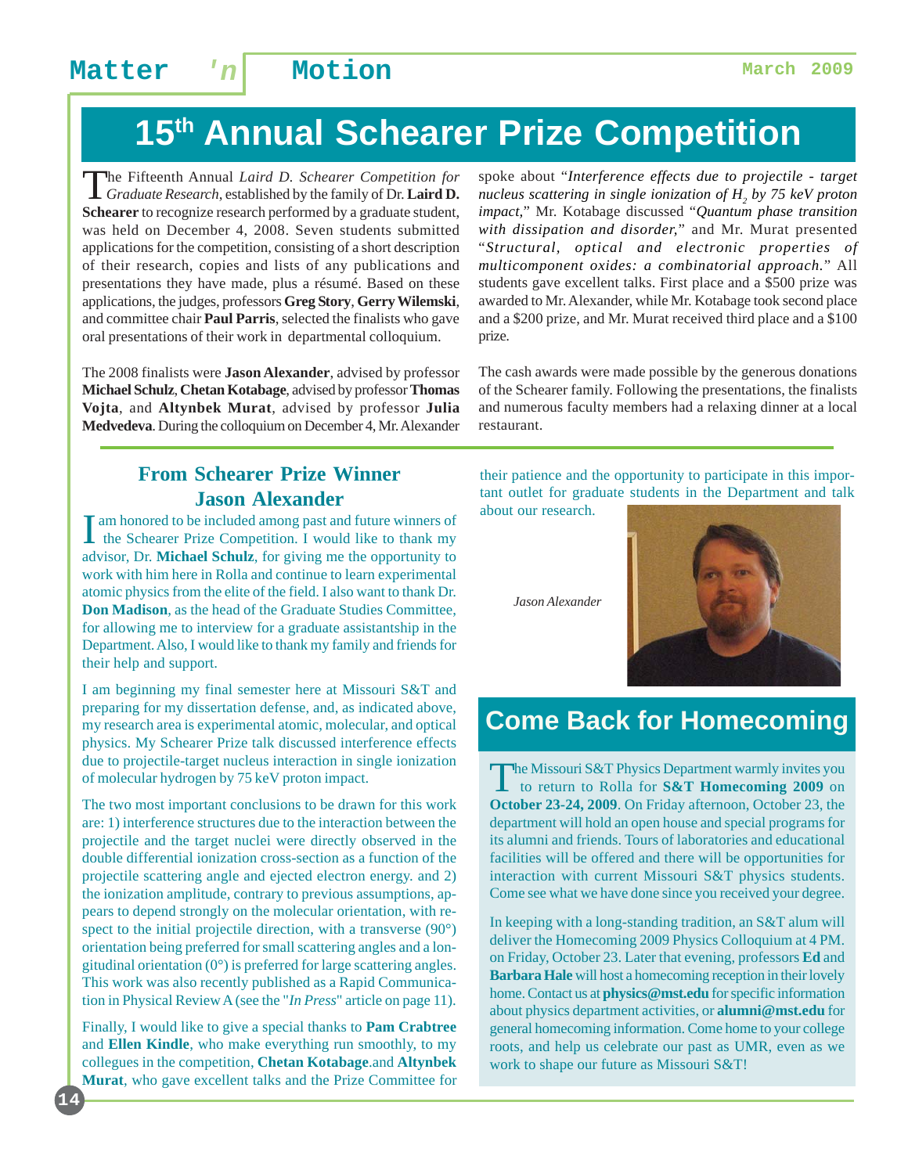# **15th Annual Schearer Prize Competition**

The Fifteenth Annual *Laird D. Schearer Competition for Graduate Research*, established by the family of Dr. **Laird D. Schearer** to recognize research performed by a graduate student, was held on December 4, 2008. Seven students submitted applications for the competition, consisting of a short description of their research, copies and lists of any publications and presentations they have made, plus a résumé. Based on these applications, the judges, professors **Greg Story**, **Gerry Wilemski**, and committee chair **Paul Parris**, selected the finalists who gave oral presentations of their work in departmental colloquium.

The 2008 finalists were **Jason Alexander**, advised by professor **Michael Schulz**, **Chetan Kotabage**, advised by professor **Thomas Vojta**, and **Altynbek Murat**, advised by professor **Julia Medvedeva**. During the colloquium on December 4, Mr. Alexander spoke about "*Interference effects due to projectile - target nucleus scattering in single ionization of H2 by 75 keV proton impact,*" Mr. Kotabage discussed "*Quantum phase transition with dissipation and disorder,*" and Mr. Murat presented "*Structural, optical and electronic properties of multicomponent oxides: a combinatorial approach.*" All students gave excellent talks. First place and a \$500 prize was awarded to Mr. Alexander, while Mr. Kotabage took second place and a \$200 prize, and Mr. Murat received third place and a \$100 prize.

The cash awards were made possible by the generous donations of the Schearer family. Following the presentations, the finalists and numerous faculty members had a relaxing dinner at a local restaurant.

### **From Schearer Prize Winner Jason Alexander**

I am honored to be included among past and future winners of<br>the Schearer Prize Competition. I would like to thank my am honored to be included among past and future winners of advisor, Dr. **Michael Schulz**, for giving me the opportunity to work with him here in Rolla and continue to learn experimental atomic physics from the elite of the field. I also want to thank Dr. **Don Madison**, as the head of the Graduate Studies Committee, for allowing me to interview for a graduate assistantship in the Department. Also, I would like to thank my family and friends for their help and support.

I am beginning my final semester here at Missouri S&T and preparing for my dissertation defense, and, as indicated above, my research area is experimental atomic, molecular, and optical physics. My Schearer Prize talk discussed interference effects due to projectile-target nucleus interaction in single ionization of molecular hydrogen by 75 keV proton impact.

The two most important conclusions to be drawn for this work are: 1) interference structures due to the interaction between the projectile and the target nuclei were directly observed in the double differential ionization cross-section as a function of the projectile scattering angle and ejected electron energy. and 2) the ionization amplitude, contrary to previous assumptions, appears to depend strongly on the molecular orientation, with respect to the initial projectile direction, with a transverse (90°) orientation being preferred for small scattering angles and a longitudinal orientation  $(0^{\circ})$  is preferred for large scattering angles. This work was also recently published as a Rapid Communication in Physical Review A (see the "*In Press*" article on page 11).

Finally, I would like to give a special thanks to **Pam Crabtree** and **Ellen Kindle**, who make everything run smoothly, to my collegues in the competition, **Chetan Kotabage**.and **Altynbek Murat**, who gave excellent talks and the Prize Committee for

**14**

their patience and the opportunity to participate in this important outlet for graduate students in the Department and talk about our research.

*Jason Alexander*



### **Come Back for Homecoming**

The Missouri S&T Physics Department warmly invites you<br>to return to Rolla for **S&T Homecoming 2009** on **October 23-24, 2009**. On Friday afternoon, October 23, the department will hold an open house and special programs for its alumni and friends. Tours of laboratories and educational facilities will be offered and there will be opportunities for interaction with current Missouri S&T physics students. Come see what we have done since you received your degree.

In keeping with a long-standing tradition, an S&T alum will deliver the Homecoming 2009 Physics Colloquium at 4 PM. on Friday, October 23. Later that evening, professors **Ed** and **Barbara Hale** will host a homecoming reception in their lovely home. Contact us at **physics@mst.edu** for specific information about physics department activities, or **alumni@mst.edu** for general homecoming information. Come home to your college roots, and help us celebrate our past as UMR, even as we work to shape our future as Missouri S&T!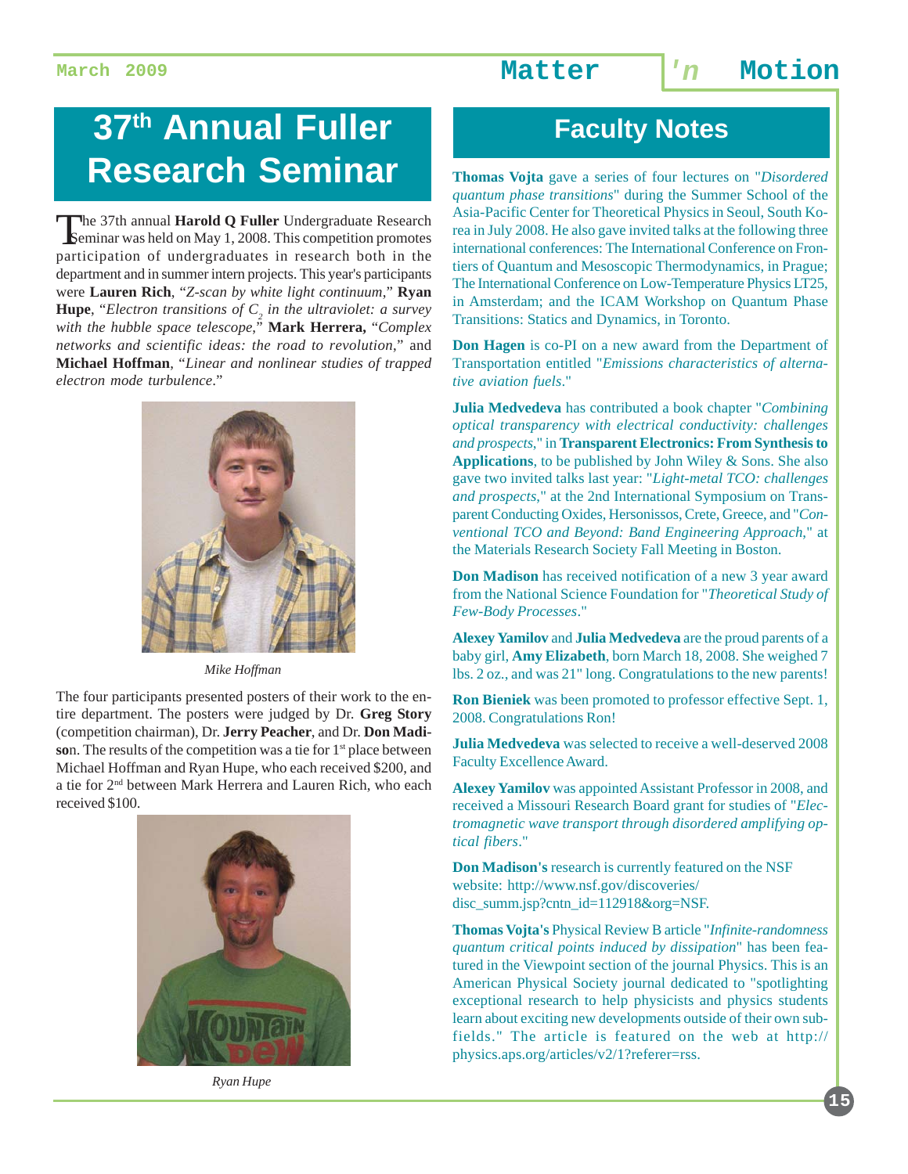# **37th Annual Fuller Research Seminar**

The 37th annual **Harold Q Fuller** Undergraduate Research Seminar was held on May 1, 2008. This competition promotes participation of undergraduates in research both in the department and in summer intern projects. This year's participants were **Lauren Rich**, "*Z-scan by white light continuum*," **Ryan Hupe**, "*Electron transitions of*  $C_2$  *in the ultraviolet: a survey with the hubble space telescope*," **Mark Herrera,** "*Complex networks and scientific ideas: the road to revolution*," and **Michael Hoffman**, "*Linear and nonlinear studies of trapped electron mode turbulence*."



*Mike Hoffman*

The four participants presented posters of their work to the entire department. The posters were judged by Dr. **Greg Story** (competition chairman), Dr. **Jerry Peacher**, and Dr. **Don Madi**son. The results of the competition was a tie for 1<sup>st</sup> place between Michael Hoffman and Ryan Hupe, who each received \$200, and a tie for 2nd between Mark Herrera and Lauren Rich, who each received \$100.



*Ryan Hupe*

## **Faculty Notes**

**Thomas Vojta** gave a series of four lectures on "*Disordered quantum phase transitions*" during the Summer School of the Asia-Pacific Center for Theoretical Physics in Seoul, South Korea in July 2008. He also gave invited talks at the following three international conferences: The International Conference on Frontiers of Quantum and Mesoscopic Thermodynamics, in Prague; The International Conference on Low-Temperature Physics LT25, in Amsterdam; and the ICAM Workshop on Quantum Phase Transitions: Statics and Dynamics, in Toronto.

**Don Hagen** is co-PI on a new award from the Department of Transportation entitled "*Emissions characteristics of alternative aviation fuels*."

**Julia Medvedeva** has contributed a book chapter "*Combining optical transparency with electrical conductivity: challenges and prospects*," in **Transparent Electronics: From Synthesis to Applications**, to be published by John Wiley & Sons. She also gave two invited talks last year: "*Light-metal TCO: challenges and prospects*," at the 2nd International Symposium on Transparent Conducting Oxides, Hersonissos, Crete, Greece, and "*Conventional TCO and Beyond: Band Engineering Approach*," at the Materials Research Society Fall Meeting in Boston.

**Don Madison** has received notification of a new 3 year award from the National Science Foundation for "*Theoretical Study of Few-Body Processes*."

**Alexey Yamilov** and **Julia Medvedeva** are the proud parents of a baby girl, **Amy Elizabeth**, born March 18, 2008. She weighed 7 lbs. 2 oz., and was 21" long. Congratulations to the new parents!

**Ron Bieniek** was been promoted to professor effective Sept. 1, 2008. Congratulations Ron!

**Julia Medvedeva** was selected to receive a well-deserved 2008 Faculty Excellence Award.

**Alexey Yamilov** was appointed Assistant Professor in 2008, and received a Missouri Research Board grant for studies of "*Electromagnetic wave transport through disordered amplifying optical fibers*."

**Don Madison's** research is currently featured on the NSF website: http://www.nsf.gov/discoveries/ disc\_summ.jsp?cntn\_id=112918&org=NSF.

**Thomas Vojta's** Physical Review B article "*Infinite-randomness quantum critical points induced by dissipation*" has been featured in the Viewpoint section of the journal Physics. This is an American Physical Society journal dedicated to "spotlighting exceptional research to help physicists and physics students learn about exciting new developments outside of their own subfields." The article is featured on the web at http:// physics.aps.org/articles/v2/1?referer=rss.

**15**